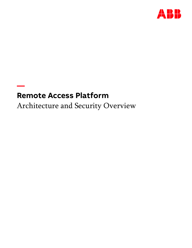

# **Remote Access Platform**

**—**

Architecture and Security Overview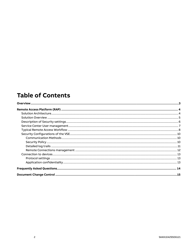## **Table of Contents**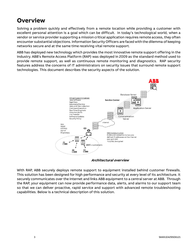## <span id="page-2-0"></span>**Overview**

Solving a problem quickly and effectively from a remote location while providing a customer with excellent personal attention is a goal which can be difficult. In today's technological world, when a vendor or service provider supporting a mission critical application requires remote access, they often encounter substantial objections. Information Security Officers are faced with the dilemma of keeping networks secure and at the same time receiving vital remote support.

ABB has deployed new technology which provides the most innovative remote support offering in the industry. ABB's Remote Access Platform (RAP) was deployed in 2009 as the standard method used to provide remote support, as well as continuous remote monitoring and diagnostics. RAP security features address the concerns of IT administrators on security issues that surround remote support technologies. This document describes the security aspects of the solution.



**Architectural overview**

With RAP, ABB securely deploys remote support to equipment installed behind customer firewalls. This solution has been designed for high performance and security at every level of its architecture. It securely communicates over the Internet and links ABB equipment to a central server at ABB. Through the RAP, your equipment can now provide performance data, alerts, and alarms to our support team so that we can deliver proactive, rapid service and support with advanced remote troubleshooting capabilities. Below is a technical description of this solution.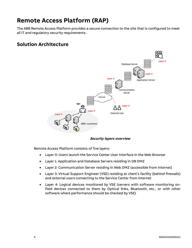## <span id="page-3-0"></span>**Remote Access Platform (RAP)**

The ABB Remote Access Platform provides a secure connection to the site that is configured to meet all IT and regulatory security requirements.

### <span id="page-3-1"></span>**Solution Architecture**



**Security layers overview**

Remote Access Platform consists of five layers:

- Layer 0: Users launch the Service Center User Interface in the Web Browser
- Layer 1: Application and Database Servers residing in DB DMZ
- Layer 2: Communication Server residing in Web DMZ (accessible from Internet)
- Layer 3: Virtual Support Engineer (VSE) residing at client's facility (behind firewalls) and external users connecting to the Service Center from Internet
- Layer 4: Logical devices monitored by VSE (servers with software monitoring onfield devices connected to them by Optical links, Bluetooth, etc., or with other software where performance should be checked by VSE)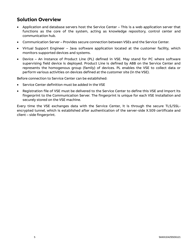### <span id="page-4-0"></span>**Solution Overview**

- Application and database servers host the Service Center This is a web application server that functions as the core of the system, acting as knowledge repository, control center and communication hub.
- Communication Server Provides secure connection between VSEs and the Service Center.
- Virtual Support Engineer Java software application located at the customer facility, which monitors supported devices and systems.
- Device An instance of Product Line (PL) defined in VSE. May stand for PC where software supervising field device is deployed. Product Line is defined by ABB on the Service Center and represents the homogenous group (family) of devices. PL enables the VSE to collect data or perform various activities on devices defined at the customer site (in the VSE).

Before connection to Service Center can be established:

- Service Center definition must be added in the VSE
- Registration file of VSE must be delivered to the Service Center to define this VSE and import its fingerprint to the Communication Server. The fingerprint is unique for each VSE installation and securely stored on the VSE machine.

Every time the VSE exchanges data with the Service Center, it is through the secure TLS/SSLencrypted tunnel, which is established after authentication of the server-side X.509 certificate and client – side fingerprint.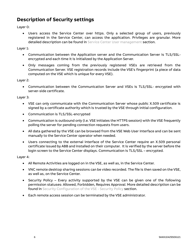## <span id="page-5-0"></span>**Description of Security settings**

Layer 0:

• Users access the Service Center over https. Only a selected group of users, previously registered in the Service Center, can access the application. Privileges are granular. More detailed description can be found in [Service Center User management](#page-6-0) section.

Layer 1:

- Communication between the Application server and the Communication Server is TLS/SSLencrypted and each time it is initialized by the Application Server.
- Only messages coming from the previously registered VSEs are retrieved from the Communication Server. VSE registration records include the VSE's fingerprint (a piece of data computed on the VSE which is unique for every VSE).

Layer 2:

• Communication between the Communication Server and VSEs is TLS/SSL- encrypted with server-side certificate.

Layer 3:

- VSE can only communicate with the Communication Server whose public X.509 certificate is signed by a certificate authority which is trusted by the VSE through initial configuration.
- Communication is TLS/SSL-encrypted
- Communication is outbound only (i.e. VSE initiates the HTTPS session) with the VSE frequently polling the server for pending connection requests from users.
- All data gathered by the VSE can be browsed from the VSE Web User Interface and can be sent manually to the Service Center operator when needed.
- Users connecting to the external interface of the Service Center require an X.509 personal certificate issued by ABB and installed on their computer. It is verified by the server before the login screen to the Service Center displays. Communication is TLS/SSL – encrypted.

Layer 4:

- All Remote Activities are logged on in the VSE, as well as, in the Service Center.
- VNC remote desktop sharing sessions can be video recorded. The file is then saved on the VSE, as well as, on the Service Center.
- Security Policy Every activity supported by the VSE can be given one of the following permission statuses: Allowed, Forbidden, Requires Approval. More detailed description can be found i[n Security Configuration of the VSE -](#page-9-2) Security Policy section.
- Each remote access session can be terminated by the VSE administrator.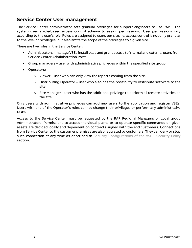### <span id="page-6-0"></span>**Service Center User management**

The Service Center administrator sets granular privileges for support engineers to use RAP. The system uses a role-based access control schema to assign permissions. User permissions vary according to the user's role. Roles are assigned to users per site, i.e. access control is not only granular to the level or privileges, but also limits the scope of the privileges to a given site.

There are five roles in the Service Center:

- Administrators manage VSEs install base and grant access to internal and external users from Service Center Administration Portal
- Group managers user with administrative privileges within the specified site group.
- Operators:
	- $\circ$  Viewer user who can only view the reports coming from the site.
	- $\circ$  Distributing Operator user who also has the possibility to distribute software to the site.
	- o Site Manager user who has the additional privilege to perform all remote activities on the site.

Only users with administrative privileges can add new users to the application and register VSEs. Users with one of the Operator's roles cannot change their privileges or perform any administrative tasks.

Access to the Service Center must be requested by the RAP Regional Managers or Local group Administrators. Permissions to access individual plants or to operate specific commands on given assets are decided locally and dependent on contracts signed with the end customers. Connections from Service Center to the customer premises are also regulated by customers. They can deny or stop such connection at any time as described in [Security Configurations of the VSE -](#page-9-2) Security Policy section.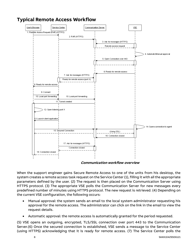## <span id="page-7-0"></span>**Typical Remote Access Workflow**



**Communication workflow overview**

When the support engineer gains Secure Remote Access to one of the units from his desktop, the system creates a remote access task request on the Service Center (1), filling it with all the appropriate parameters defined by the user. (2) The request is then placed on the Communication Server using HTTPS protocol. (3) The appropriate VSE polls the Communication Server for new messages every predefined number of minutes using HTTPS protocol. The new request is retrieved. (4) Depending on the current VSE configuration, the following occurs:

- Manual approval: the system sends an email to the local system administrator requesting his approval for the remote access. The administrator can click on the link in the email to view the request details.
- Automatic approval: the remote access is automatically granted for the period requested.

(5) VSE opens an outgoing, encrypted, TLS/SSL connection over port 443 to the Communication Server.(6) Once the secured connection is established, VSE sends a message to the Service Center (using HTTPS) acknowledging that it is ready for remote access. (7) The Service Center polls the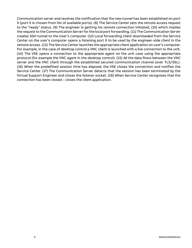Communication server and receives the notification that the new tunnel has been established on port X (port X is chosen from list of available ports). (8) The Service Center sets the remote access request to the "ready" status. (9) The engineer is getting his remote connection initiated, (10) which implies the request to the Communication Server for the local port forwarding. (11) The Communication Server creates SSH tunnel to the User's computer. (12) Local forwarding client downloaded from the Service Center on the user's computer opens a listening port X to be used by the engineer-side client in the remote access. (13) The Service Center launches the appropriate client application on user's computer. For example, in the case of desktop control a VNC client is launched with a live connection to the unit. (14) The VSE opens a connection to the appropriate agent on the unit case using the appropriate protocol (for example the VNC agent in the desktop control). (15) All the data flows between the VNC server and the VNC client through the established secured communication channel (over TLS/SSL). (16) When the predefined session time has elapsed, the VSE closes the connection and notifies the Service Center. (17) The Communication Server detects that the session has been terminated by the Virtual Support Engineer and closes the listener socket. (18) When Service Center recognizes that the connection has been closed – closes the client application.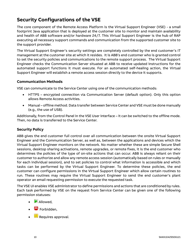## <span id="page-9-0"></span>**Security Configurations of the VSE**

The core component of the Remote Access Platform is the Virtual Support Engineer (VSE) - a small footprint Java application that is deployed at the customer site to monitor and maintain availability and health of ABB software and/or hardware 24/7. This Virtual Support Engineer is the hub of RAP executing all necessary support commands and communication from the supported customer site to the support provider.

The Virtual Support Engineer's security settings are completely controlled by the end customer's IT management at the customer site at which it resides. It is ABB's end customer who is granted control to set the security policies and communications to the remote support process. The Virtual Support Engineer checks the Communication Server situated at ABB to receive updated instructions for the automated support functions it must execute. For an automated self-healing action, the Virtual Support Engineer will establish a remote access session directly to the device it supports.

#### <span id="page-9-1"></span>**Communication Methods**

VSE can communicate to the Service Center using one of the communication methods:

- HTTPS encrypted connection via Communication Server (default option). Only this option allows Remote Access activities.
- Manual offline method. Data transfer between Service Center and VSE must be done manually (e.g., the use of USB).

Additionally, from the Control Panel in the VSE User interface – it can be switched to the offline mode. Then, no data is transferred to the Service Center.

#### <span id="page-9-2"></span>**Security Policy**

ABB gives the end customer full control over all communication between the onsite Virtual Support Engineer and the Communication Server, as well as, between the applications and devices which the Virtual Support Engineer monitors on the network. No matter whether these are simple Secure Shell sessions, desktop sharing activations, remote upgrades, or remote fixes, it is the end customer who determines the policies of the type of on-site actions that can occur. ABB is always reliant on their customer to authorize and allow any remote access session (automatically based on rules or manually for each individual session), and to set policies to control what information is accessible and which tasks can be performed by the Virtual Support Engineer. To determine these policies, the end customer can configure permissions in the Virtual Support Engineer which allow certain routines to run. These routines may require the Virtual Support Engineer to send the end customer's plant operator an email requesting permission to execute the requested task.

The VSE UI enables VSE administrator to define permissions and actions that are conditioned by rules. Each task performed by VSE on the request from Service Center can be given one of the following permission statuses:

- **Allowed.**
- $\Theta$  Forbidden,
- **Ell** Requires approval.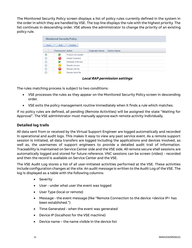The Monitored Security Policy screen displays a list of policy rules currently defined in the system in the order in which they are handled by VSE. The top line displays the rule with the highest priority. The list continues in descending order. VSE allows the administrator to change the priority of an existing policy rule.

|                               | <b>Monitored Security Policy</b> |                     |                 |             |  |  |  |  |
|-------------------------------|----------------------------------|---------------------|-----------------|-------------|--|--|--|--|
| Edit<br><b>Delete</b><br>New. |                                  |                     |                 |             |  |  |  |  |
|                               | Permission Action                |                     | Originator Name | Device Name |  |  |  |  |
| ◉                             |                                  | Product Line Update |                 |             |  |  |  |  |
| О                             | ⇔                                | Instant Command     |                 |             |  |  |  |  |
| O                             |                                  | Distribute Software |                 |             |  |  |  |  |
| O                             |                                  | Remote Access       |                 |             |  |  |  |  |
| O                             | ⊖                                | Remote Get File     |                 |             |  |  |  |  |
| ∩                             | m                                | Remote Send File    |                 |             |  |  |  |  |

**Local RAP permission settings**

The rules matching process is subject to two conditions:

- VSE processes the rules as they appear on the Monitored Security Policy screen in descending order.
- VSE exits the policy management routine immediately when it finds a rule which matches.

If no policy rules are defined, all pending (Remote Activities) will be assigned the state "Waiting for Approval". The VSE administrator must manually approve each remote activity individually.

#### <span id="page-10-0"></span>**Detailed log trails**

All data sent from or received by the Virtual Support Engineer are logged automatically and recorded in operational and audit logs. This makes it easy to view any past service event. As a remote support session is initiated, all data transfers are logged including the applications and devices involved, as well as, the usernames of support engineers to provide a detailed audit trail of information. Traceability is maintained on Service Center side and the VSE side. All remote secure shell sessions are automatically logged and stored for future reference. VNC sessions can be screen (video) - recorded and then the record is available on Service Center and the VSE.

The VSE Audit Log stores a list of all user-initiated activities performed at the VSE. These activities include configuration changes at the site. An audit message is written to the Audit Log of the VSE. The log is displayed as a table with the following columns:

- Severity
- User under what user the event was logged
- User Type (local or remote)
- Message the event message (like "Remote Connection to the device <device IP> has been established.")
- Time Generated when the event was generated
- Device IP (localhost for the VSE machine)
- Device name the name visible in the device list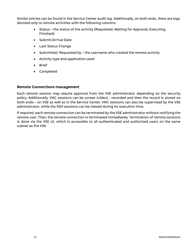Similar entries can be found in the Service Center audit log. Additionally, on both ends, there are logs devoted only to remote activities with the following columns:

- Status the status of the activity (Requested, Waiting for Approval, Executing, Finished)
- Submit/Arrival Date
- Last Status Change
- Submitted/ Requested by the username who created the remote activity
- Activity type and application used
- Brief
- Completed

#### <span id="page-11-0"></span>**Remote Connections management**

Each remote session may require approval from the VSE administrator depending on the security policy. Additionally, VNC sessions can be screen (video) - recorded and then the record is stored on both ends – on VSE as well as in the Service Center. VNC sessions can also be supervised by the VSE administrator, while the SSH sessions can be viewed during its execution time.

If required, each remote connection can be terminated by the VSE administrator without notifying the remote user. Then, the remote connection is terminated immediately. Termination of remote sessions is done via the VSE UI, which is accessible to all authenticated and authorized users on the same subnet as the VSE.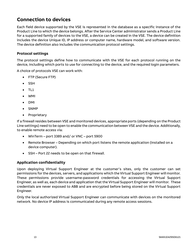### <span id="page-12-0"></span>**Connection to devices**

Each field device supported by the VSE is represented in the database as a specific instance of the Product Line to which the device belongs. After the Service Center administrator sends a Product Line for a supported family of devices to the VSE, a device can be created in the VSE. The device definition includes the device Unique ID, IP address or computer name, hardware model, and software version. The device definition also includes the communication protocol settings.

#### <span id="page-12-1"></span>**Protocol settings**

The protocol settings define how to communicate with the VSE for each protocol running on the device, including which ports to use for connecting to the device, and the required login parameters.

A choice of protocols VSE can work with:

- FTP (Secure FTP)
- SSH
- $\bullet$  TL1
- WMI
- DMI
- SNMP
- Proprietary

If a firewall resides between VSE and monitored devices, appropriate ports (depending on the Product Line settings) need to be open to enable the communication between VSE and the device. Additionally, to enable remote access via:

- WinTerm port 3389 and/ or VNC port 5900
- Remote Browser Depending on which port listens the remote application (installed on a device computer).
- SSH Port 22 needs to be open on that firewall.

#### <span id="page-12-2"></span>**Application confidentiality**

Upon deploying Virtual Support Engineer at the customer's sites, only the customer can set permissions for the devices, servers, and applications which the Virtual Support Engineer will monitor. These permissions provide username-password credentials for accessing the Virtual Support Engineer, as well as, each device and application that the Virtual Support Engineer will monitor. These credentials are never exposed to ABB and are encrypted before being stored on the Virtual Support Engineer.

Only the local authorized Virtual Support Engineer can communicate with devices on the monitored network. No device IP address is communicated during any remote access sessions.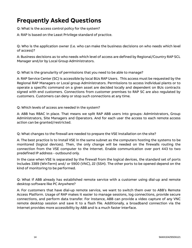## <span id="page-13-0"></span>**Frequently Asked Questions**

Q: What is the access control policy for the system?

A: RAP is based on the Least Privilege standard of practice.

Q: Who is the application owner (i.e. who can make the business decisions on who needs which level of access)?

A: Business decisions as to who needs which level of access are defined by Regional/Country RAP SCL Manager and/or by Local Group Administrators.

Q: What is the granularity of permissions that you need to be able to manage?

A: RAP Service Center (SC) is accessible by local BUs RAP Users. This access must be requested by the Regional RAP Managers or Local group Administrators. Permissions to access individual plants or to operate a specific command on a given asset are decided locally and dependent on BUs contracts signed with end customers. Connections from customer premises to RAP SC are also regulated by customers. Customers can deny or stop such connections at any time.

Q: Which levels of access are needed in the system?

A: ABB has RBAC in place. That means we split RAP ABB users into groups: Administrators, Group Administrators, Site Managers and Operators. And for each user the access to each remote access action can be granted/restricted.

Q: What changes to the firewall are needed to prepare the VSE installation on the site?

A: The best practice is to install VSE in the same subnet as the computers hosting the systems to be monitored (logical devices). Then, the only change will be needed on the firewalls routing the connection from the VSE computer to the Internet. Enable communication over port 443 to two predefined IP address - outbound only.

In the case when VSE is separated by the firewall from the logical devices, the standard set of ports includes 3389 (WinTerm) and/ or 5900 (VNC), 22 (SSH). The other ports to be opened depend on the kind of monitoring to be performed.

Q: What if ABB already has established remote service with a customer using dial-up and remote desktop software like PC Anywhere?

A: For customers that have dial-up remote service, we want to switch them over to ABB's Remote Access Platform. Usage of RAP makes it easier to manage sessions, log connections, provide secure connections, and perform data transfer. For instance, ABB can provide a video capture of any VNC remote desktop session and save it to a flash file. Additionally, a broadband connection via the Internet provides more accessibility by ABB and is a much faster interface.